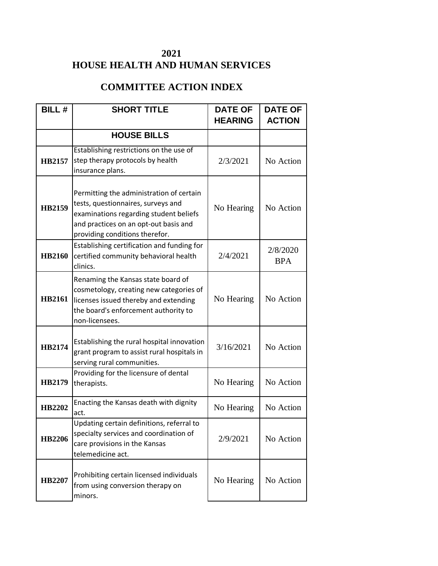## **2021 HOUSE HEALTH AND HUMAN SERVICES**

## **COMMITTEE ACTION INDEX**

| <b>BILL#</b>  | <b>SHORT TITLE</b>                                                                                                                                                                                  | <b>DATE OF</b> | <b>DATE OF</b>         |
|---------------|-----------------------------------------------------------------------------------------------------------------------------------------------------------------------------------------------------|----------------|------------------------|
|               |                                                                                                                                                                                                     | <b>HEARING</b> | <b>ACTION</b>          |
|               | <b>HOUSE BILLS</b>                                                                                                                                                                                  |                |                        |
| HB2157        | Establishing restrictions on the use of<br>step therapy protocols by health<br>insurance plans.                                                                                                     | 2/3/2021       | No Action              |
| <b>HB2159</b> | Permitting the administration of certain<br>tests, questionnaires, surveys and<br>examinations regarding student beliefs<br>and practices on an opt-out basis and<br>providing conditions therefor. | No Hearing     | No Action              |
| <b>HB2160</b> | Establishing certification and funding for<br>certified community behavioral health<br>clinics.                                                                                                     | 2/4/2021       | 2/8/2020<br><b>BPA</b> |
| <b>HB2161</b> | Renaming the Kansas state board of<br>cosmetology, creating new categories of<br>licenses issued thereby and extending<br>the board's enforcement authority to<br>non-licensees.                    | No Hearing     | No Action              |
| <b>HB2174</b> | Establishing the rural hospital innovation<br>grant program to assist rural hospitals in<br>serving rural communities.                                                                              | 3/16/2021      | No Action              |
| <b>HB2179</b> | Providing for the licensure of dental<br>therapists.                                                                                                                                                | No Hearing     | No Action              |
| HB2202        | Enacting the Kansas death with dignity<br>act.                                                                                                                                                      | No Hearing     | No Action              |
| <b>HB2206</b> | Updating certain definitions, referral to<br>specialty services and coordination of<br>care provisions in the Kansas<br>telemedicine act.                                                           | 2/9/2021       | No Action              |
| HB2207        | Prohibiting certain licensed individuals<br>from using conversion therapy on<br>minors.                                                                                                             | No Hearing     | No Action              |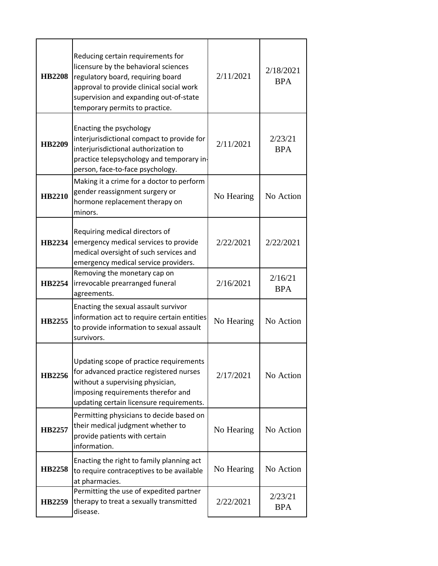| <b>HB2208</b> | Reducing certain requirements for<br>licensure by the behavioral sciences<br>regulatory board, requiring board<br>approval to provide clinical social work<br>supervision and expanding out-of-state<br>temporary permits to practice. | 2/11/2021  | 2/18/2021<br><b>BPA</b> |
|---------------|----------------------------------------------------------------------------------------------------------------------------------------------------------------------------------------------------------------------------------------|------------|-------------------------|
| <b>HB2209</b> | Enacting the psychology<br>interjurisdictional compact to provide for<br>interjurisdictional authorization to<br>practice telepsychology and temporary in-<br>person, face-to-face psychology.                                         | 2/11/2021  | 2/23/21<br><b>BPA</b>   |
| <b>HB2210</b> | Making it a crime for a doctor to perform<br>gender reassignment surgery or<br>hormone replacement therapy on<br>minors.                                                                                                               | No Hearing | No Action               |
| HB2234        | Requiring medical directors of<br>emergency medical services to provide<br>medical oversight of such services and<br>emergency medical service providers.                                                                              | 2/22/2021  | 2/22/2021               |
| HB2254        | Removing the monetary cap on<br>irrevocable prearranged funeral<br>agreements.                                                                                                                                                         | 2/16/2021  | 2/16/21<br><b>BPA</b>   |
| HB2255        | Enacting the sexual assault survivor<br>information act to require certain entities<br>to provide information to sexual assault<br>survivors.                                                                                          | No Hearing | No Action               |
| HB2256        | Updating scope of practice requirements<br>for advanced practice registered nurses<br>without a supervising physician,<br>imposing requirements therefor and<br>updating certain licensure requirements.                               | 2/17/2021  | No Action               |
| HB2257        | Permitting physicians to decide based on<br>their medical judgment whether to<br>provide patients with certain<br>information.                                                                                                         | No Hearing | No Action               |
| <b>HB2258</b> | Enacting the right to family planning act<br>to require contraceptives to be available<br>at pharmacies.                                                                                                                               | No Hearing | No Action               |
| HB2259        | Permitting the use of expedited partner<br>therapy to treat a sexually transmitted<br>disease.                                                                                                                                         | 2/22/2021  | 2/23/21<br><b>BPA</b>   |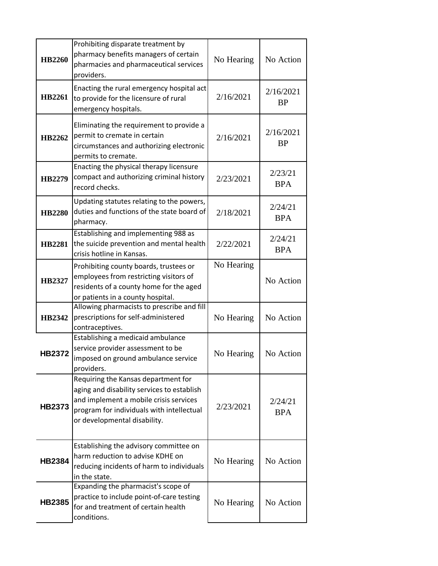| HB2260        | Prohibiting disparate treatment by<br>pharmacy benefits managers of certain<br>pharmacies and pharmaceutical services<br>providers.                                                                      | No Hearing | No Action              |
|---------------|----------------------------------------------------------------------------------------------------------------------------------------------------------------------------------------------------------|------------|------------------------|
| HB2261        | Enacting the rural emergency hospital act<br>to provide for the licensure of rural<br>emergency hospitals.                                                                                               | 2/16/2021  | 2/16/2021<br><b>BP</b> |
| HB2262        | Eliminating the requirement to provide a<br>permit to cremate in certain<br>circumstances and authorizing electronic<br>permits to cremate.                                                              | 2/16/2021  | 2/16/2021<br><b>BP</b> |
| <b>HB2279</b> | Enacting the physical therapy licensure<br>compact and authorizing criminal history<br>record checks.                                                                                                    | 2/23/2021  | 2/23/21<br><b>BPA</b>  |
| <b>HB2280</b> | Updating statutes relating to the powers,<br>duties and functions of the state board of<br>pharmacy.                                                                                                     | 2/18/2021  | 2/24/21<br><b>BPA</b>  |
| <b>HB2281</b> | Establishing and implementing 988 as<br>the suicide prevention and mental health<br>crisis hotline in Kansas.                                                                                            | 2/22/2021  | 2/24/21<br><b>BPA</b>  |
| HB2327        | Prohibiting county boards, trustees or<br>employees from restricting visitors of<br>residents of a county home for the aged<br>or patients in a county hospital.                                         | No Hearing | No Action              |
| HB2342        | Allowing pharmacists to prescribe and fill<br>prescriptions for self-administered<br>contraceptives.                                                                                                     | No Hearing | No Action              |
| <b>HB2372</b> | Establishing a medicaid ambulance<br>service provider assessment to be<br>imposed on ground ambulance service<br>providers.                                                                              | No Hearing | No Action              |
| <b>HB2373</b> | Requiring the Kansas department for<br>aging and disability services to establish<br>and implement a mobile crisis services<br>program for individuals with intellectual<br>or developmental disability. | 2/23/2021  | 2/24/21<br><b>BPA</b>  |
| <b>HB2384</b> | Establishing the advisory committee on<br>harm reduction to advise KDHE on<br>reducing incidents of harm to individuals<br>in the state.                                                                 | No Hearing | No Action              |
| <b>HB2385</b> | Expanding the pharmacist's scope of<br>practice to include point-of-care testing<br>for and treatment of certain health<br>conditions.                                                                   | No Hearing | No Action              |